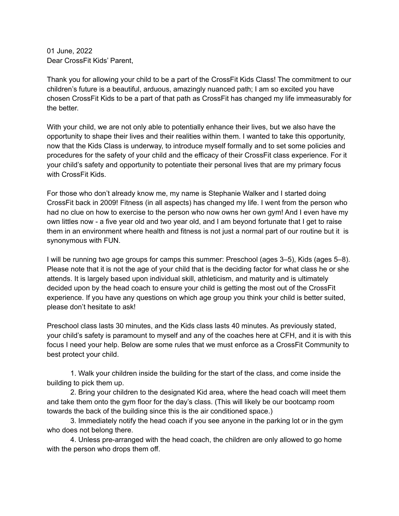01 June, 2022 Dear CrossFit Kids' Parent,

Thank you for allowing your child to be a part of the CrossFit Kids Class! The commitment to our children's future is a beautiful, arduous, amazingly nuanced path; I am so excited you have chosen CrossFit Kids to be a part of that path as CrossFit has changed my life immeasurably for the better.

With your child, we are not only able to potentially enhance their lives, but we also have the opportunity to shape their lives and their realities within them. I wanted to take this opportunity, now that the Kids Class is underway, to introduce myself formally and to set some policies and procedures for the safety of your child and the efficacy of their CrossFit class experience. For it your child's safety and opportunity to potentiate their personal lives that are my primary focus with CrossFit Kids.

For those who don't already know me, my name is Stephanie Walker and I started doing CrossFit back in 2009! Fitness (in all aspects) has changed my life. I went from the person who had no clue on how to exercise to the person who now owns her own gym! And I even have my own littles now - a five year old and two year old, and I am beyond fortunate that I get to raise them in an environment where health and fitness is not just a normal part of our routine but it is synonymous with FUN.

I will be running two age groups for camps this summer: Preschool (ages 3–5), Kids (ages 5–8). Please note that it is not the age of your child that is the deciding factor for what class he or she attends. It is largely based upon individual skill, athleticism, and maturity and is ultimately decided upon by the head coach to ensure your child is getting the most out of the CrossFit experience. If you have any questions on which age group you think your child is better suited, please don't hesitate to ask!

Preschool class lasts 30 minutes, and the Kids class lasts 40 minutes. As previously stated, your child's safety is paramount to myself and any of the coaches here at CFH, and it is with this focus I need your help. Below are some rules that we must enforce as a CrossFit Community to best protect your child.

1. Walk your children inside the building for the start of the class, and come inside the building to pick them up.

2. Bring your children to the designated Kid area, where the head coach will meet them and take them onto the gym floor for the day's class. (This will likely be our bootcamp room towards the back of the building since this is the air conditioned space.)

3. Immediately notify the head coach if you see anyone in the parking lot or in the gym who does not belong there.

4. Unless pre-arranged with the head coach, the children are only allowed to go home with the person who drops them off.